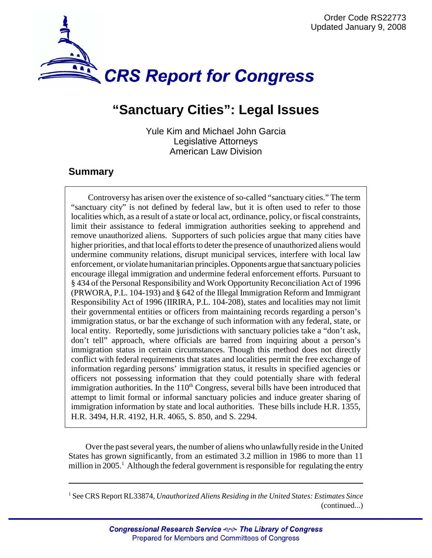

# **"Sanctuary Cities": Legal Issues**

Yule Kim and Michael John Garcia Legislative Attorneys American Law Division

### **Summary**

Controversy has arisen over the existence of so-called "sanctuary cities." The term "sanctuary city" is not defined by federal law, but it is often used to refer to those localities which, as a result of a state or local act, ordinance, policy, or fiscal constraints, limit their assistance to federal immigration authorities seeking to apprehend and remove unauthorized aliens. Supporters of such policies argue that many cities have higher priorities, and that local efforts to deter the presence of unauthorized aliens would undermine community relations, disrupt municipal services, interfere with local law enforcement, or violate humanitarian principles. Opponents argue that sanctuary policies encourage illegal immigration and undermine federal enforcement efforts. Pursuant to § 434 of the Personal Responsibility and Work Opportunity Reconciliation Act of 1996 (PRWORA, P.L. 104-193) and § 642 of the Illegal Immigration Reform and Immigrant Responsibility Act of 1996 (IIRIRA, P.L. 104-208), states and localities may not limit their governmental entities or officers from maintaining records regarding a person's immigration status, or bar the exchange of such information with any federal, state, or local entity. Reportedly, some jurisdictions with sanctuary policies take a "don't ask, don't tell" approach, where officials are barred from inquiring about a person's immigration status in certain circumstances. Though this method does not directly conflict with federal requirements that states and localities permit the free exchange of information regarding persons' immigration status, it results in specified agencies or officers not possessing information that they could potentially share with federal immigration authorities. In the  $110<sup>th</sup>$  Congress, several bills have been introduced that attempt to limit formal or informal sanctuary policies and induce greater sharing of immigration information by state and local authorities. These bills include H.R. 1355, H.R. 3494, H.R. 4192, H.R. 4065, S. 850, and S. 2294.

Over the past several years, the number of aliens who unlawfully reside in the United States has grown significantly, from an estimated 3.2 million in 1986 to more than 11 million in 2005.<sup>1</sup> Although the federal government is responsible for regulating the entry

<sup>1</sup> See CRS Report RL33874, *Unauthorized Aliens Residing in the United States: Estimates Since* (continued...)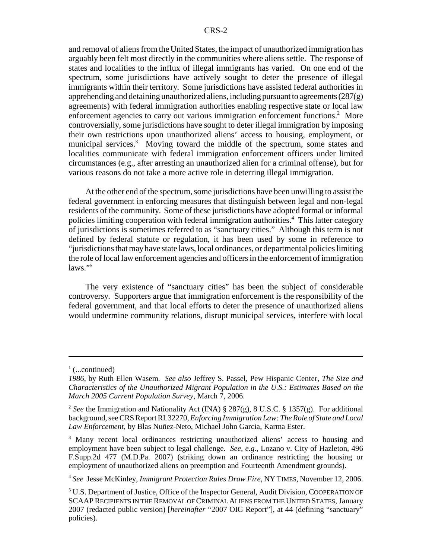and removal of aliens from the United States, the impact of unauthorized immigration has arguably been felt most directly in the communities where aliens settle. The response of states and localities to the influx of illegal immigrants has varied. On one end of the spectrum, some jurisdictions have actively sought to deter the presence of illegal immigrants within their territory. Some jurisdictions have assisted federal authorities in apprehending and detaining unauthorized aliens, including pursuant to agreements  $(287)$ agreements) with federal immigration authorities enabling respective state or local law enforcement agencies to carry out various immigration enforcement functions.<sup>2</sup> More controversially, some jurisdictions have sought to deter illegal immigration by imposing their own restrictions upon unauthorized aliens' access to housing, employment, or municipal services.<sup>3</sup> Moving toward the middle of the spectrum, some states and localities communicate with federal immigration enforcement officers under limited circumstances (e.g., after arresting an unauthorized alien for a criminal offense), but for various reasons do not take a more active role in deterring illegal immigration.

At the other end of the spectrum, some jurisdictions have been unwilling to assist the federal government in enforcing measures that distinguish between legal and non-legal residents of the community. Some of these jurisdictions have adopted formal or informal policies limiting cooperation with federal immigration authorities.<sup>4</sup> This latter category of jurisdictions is sometimes referred to as "sanctuary cities." Although this term is not defined by federal statute or regulation, it has been used by some in reference to "jurisdictions that may have state laws, local ordinances, or departmental policies limiting the role of local law enforcement agencies and officers in the enforcement of immigration  $laws.$ "

The very existence of "sanctuary cities" has been the subject of considerable controversy. Supporters argue that immigration enforcement is the responsibility of the federal government, and that local efforts to deter the presence of unauthorized aliens would undermine community relations, disrupt municipal services, interfere with local

 $\frac{1}{1}$  (...continued)

*<sup>1986</sup>*, by Ruth Ellen Wasem. *See also* Jeffrey S. Passel, Pew Hispanic Center, *The Size and Characteristics of the Unauthorized Migrant Population in the U.S.: Estimates Based on the March 2005 Current Population Survey*, March 7, 2006.

<sup>2</sup> *See* the Immigration and Nationality Act (INA) § 287(g), 8 U.S.C. § 1357(g). For additional background, see CRS Report RL32270, *Enforcing Immigration Law: The Role of State and Local Law Enforcement*, by Blas Nuñez-Neto, Michael John Garcia, Karma Ester.

<sup>&</sup>lt;sup>3</sup> Many recent local ordinances restricting unauthorized aliens' access to housing and employment have been subject to legal challenge. *See, e.g.,* Lozano v. City of Hazleton, 496 F.Supp.2d 477 (M.D.Pa. 2007) (striking down an ordinance restricting the housing or employment of unauthorized aliens on preemption and Fourteenth Amendment grounds).

<sup>4</sup> *See* Jesse McKinley, *Immigrant Protection Rules Draw Fire*, NY TIMES, November 12, 2006.

<sup>&</sup>lt;sup>5</sup> U.S. Department of Justice, Office of the Inspector General, Audit Division, COOPERATION OF SCAAPRECIPIENTS IN THE REMOVAL OF CRIMINAL ALIENS FROM THE UNITED STATES, January 2007 (redacted public version) [*hereinafter* "2007 OIG Report"], at 44 (defining "sanctuary" policies).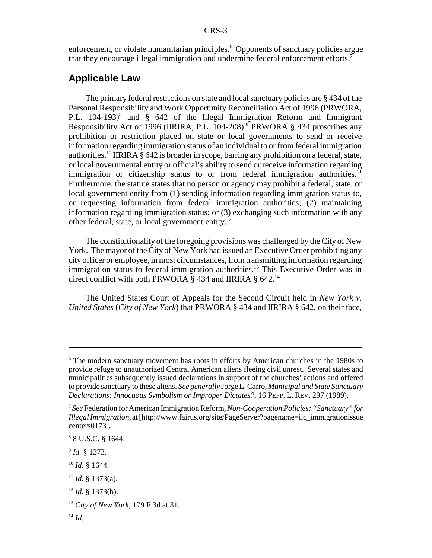enforcement, or violate humanitarian principles.<sup>6</sup> Opponents of sanctuary policies argue that they encourage illegal immigration and undermine federal enforcement efforts.7

#### **Applicable Law**

The primary federal restrictions on state and local sanctuary policies are § 434 of the Personal Responsibility and Work Opportunity Reconciliation Act of 1996 (PRWORA, P.L. 104-193)<sup>8</sup> and § 642 of the Illegal Immigration Reform and Immigrant Responsibility Act of 1996 (IIRIRA, P.L. 104-208).<sup>9</sup> PRWORA § 434 proscribes any prohibition or restriction placed on state or local governments to send or receive information regarding immigration status of an individual to or from federal immigration authorities.<sup>10</sup> IIRIRA  $\S$  642 is broader in scope, barring any prohibition on a federal, state, or local governmental entity or official's ability to send or receive information regarding immigration or citizenship status to or from federal immigration authorities.<sup>11</sup> Furthermore, the statute states that no person or agency may prohibit a federal, state, or local government entity from (1) sending information regarding immigration status to, or requesting information from federal immigration authorities; (2) maintaining information regarding immigration status; or (3) exchanging such information with any other federal, state, or local government entity.12

The constitutionality of the foregoing provisions was challenged by the City of New York. The mayor of the City of New York had issued an Executive Order prohibiting any city officer or employee, in most circumstances, from transmitting information regarding immigration status to federal immigration authorities.<sup>13</sup> This Executive Order was in direct conflict with both PRWORA § 434 and IIRIRA § 642.14

The United States Court of Appeals for the Second Circuit held in *New York v. United States* (*City of New York*) that PRWORA § 434 and IIRIRA § 642, on their face,

<sup>9</sup> *Id.* § 1373.

<sup>10</sup> *Id.* § 1644.

 $12$  *Id.* § 1373(b).

<sup>&</sup>lt;sup>6</sup> The modern sanctuary movement has roots in efforts by American churches in the 1980s to provide refuge to unauthorized Central American aliens fleeing civil unrest. Several states and municipalities subsequently issued declarations in support of the churches' actions and offered to provide sanctuary to these aliens. *See generally* Jorge L. Carro, *Municipal and State Sanctuary Declarations: Innocuous Symbolism or Improper Dictates?*, 16 PEPP. L. REV. 297 (1989).

<sup>7</sup> *See* Federation for American Immigration Reform, *Non-Cooperation Policies: "Sanctuary" for Illegal Immigration*, at [http://www.fairus.org/site/PageServer?pagename=iic\_immigrationissue centers0173].

<sup>8</sup> 8 U.S.C. § 1644.

 $11$  *Id.* § 1373(a).

<sup>13</sup> *City of New York*, 179 F.3d at 31.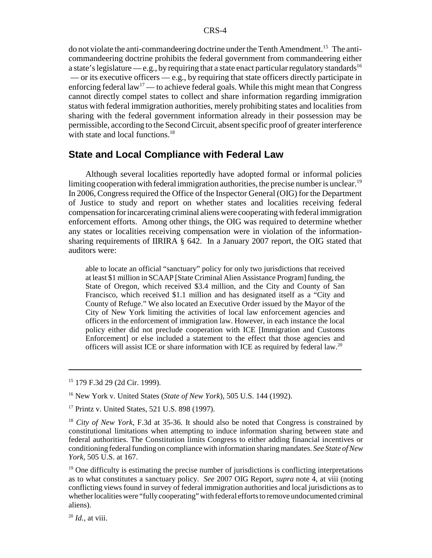do not violate the anti-commandeering doctrine under the Tenth Amendment.15 The anticommandeering doctrine prohibits the federal government from commandeering either a state's legislature — e.g., by requiring that a state enact particular regulatory standards<sup>16</sup> — or its executive officers — e.g., by requiring that state officers directly participate in enforcing federal law<sup>17</sup> — to achieve federal goals. While this might mean that Congress cannot directly compel states to collect and share information regarding immigration status with federal immigration authorities, merely prohibiting states and localities from sharing with the federal government information already in their possession may be permissible, according to the Second Circuit, absent specific proof of greater interference with state and local functions.<sup>18</sup>

#### **State and Local Compliance with Federal Law**

Although several localities reportedly have adopted formal or informal policies limiting cooperation with federal immigration authorities, the precise number is unclear.<sup>19</sup> In 2006, Congress required the Office of the Inspector General (OIG) for the Department of Justice to study and report on whether states and localities receiving federal compensation for incarcerating criminal aliens were cooperating with federal immigration enforcement efforts. Among other things, the OIG was required to determine whether any states or localities receiving compensation were in violation of the informationsharing requirements of IIRIRA § 642. In a January 2007 report, the OIG stated that auditors were:

able to locate an official "sanctuary" policy for only two jurisdictions that received at least \$1 million in SCAAP [State Criminal Alien Assistance Program] funding, the State of Oregon, which received \$3.4 million, and the City and County of San Francisco, which received \$1.1 million and has designated itself as a "City and County of Refuge." We also located an Executive Order issued by the Mayor of the City of New York limiting the activities of local law enforcement agencies and officers in the enforcement of immigration law. However, in each instance the local policy either did not preclude cooperation with ICE [Immigration and Customs Enforcement] or else included a statement to the effect that those agencies and officers will assist ICE or share information with ICE as required by federal law.20

 $19$  One difficulty is estimating the precise number of jurisdictions is conflicting interpretations as to what constitutes a sanctuary policy. *See* 2007 OIG Report, *supra* note 4, at viii (noting conflicting views found in survey of federal immigration authorities and local jurisdictions as to whether localities were "fully cooperating" with federal efforts to remove undocumented criminal aliens).

<sup>20</sup> *Id.,* at viii.

<sup>15 179</sup> F.3d 29 (2d Cir. 1999).

<sup>16</sup> New York v. United States (*State of New York*), 505 U.S. 144 (1992).

<sup>&</sup>lt;sup>17</sup> Printz v. United States, 521 U.S. 898 (1997).

<sup>18</sup> *City of New York*, F.3d at 35-36. It should also be noted that Congress is constrained by constitutional limitations when attempting to induce information sharing between state and federal authorities. The Constitution limits Congress to either adding financial incentives or conditioning federal funding on compliance with information sharing mandates. *See State of New York,* 505 U.S. at 167.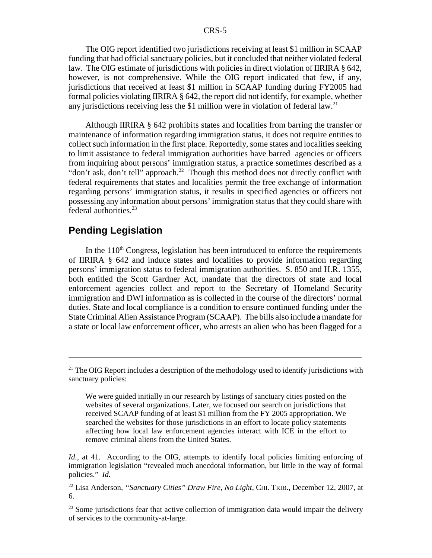The OIG report identified two jurisdictions receiving at least \$1 million in SCAAP funding that had official sanctuary policies, but it concluded that neither violated federal law. The OIG estimate of jurisdictions with policies in direct violation of IIRIRA § 642, however, is not comprehensive. While the OIG report indicated that few, if any, jurisdictions that received at least \$1 million in SCAAP funding during FY2005 had formal policies violating IIRIRA § 642, the report did not identify, for example, whether any jurisdictions receiving less the \$1 million were in violation of federal law.<sup>21</sup>

Although IIRIRA § 642 prohibits states and localities from barring the transfer or maintenance of information regarding immigration status, it does not require entities to collect such information in the first place. Reportedly, some states and localities seeking to limit assistance to federal immigration authorities have barred agencies or officers from inquiring about persons' immigration status, a practice sometimes described as a "don't ask, don't tell" approach.<sup>22</sup> Though this method does not directly conflict with federal requirements that states and localities permit the free exchange of information regarding persons' immigration status, it results in specified agencies or officers not possessing any information about persons' immigration status that they could share with federal authorities.23

## **Pending Legislation**

In the  $110<sup>th</sup>$  Congress, legislation has been introduced to enforce the requirements of IIRIRA § 642 and induce states and localities to provide information regarding persons' immigration status to federal immigration authorities. S. 850 and H.R. 1355, both entitled the Scott Gardner Act, mandate that the directors of state and local enforcement agencies collect and report to the Secretary of Homeland Security immigration and DWI information as is collected in the course of the directors' normal duties. State and local compliance is a condition to ensure continued funding under the State Criminal Alien Assistance Program (SCAAP). The bills also include a mandate for a state or local law enforcement officer, who arrests an alien who has been flagged for a

<sup>&</sup>lt;sup>21</sup> The OIG Report includes a description of the methodology used to identify jurisdictions with sanctuary policies:

We were guided initially in our research by listings of sanctuary cities posted on the websites of several organizations. Later, we focused our search on jurisdictions that received SCAAP funding of at least \$1 million from the FY 2005 appropriation. We searched the websites for those jurisdictions in an effort to locate policy statements affecting how local law enforcement agencies interact with ICE in the effort to remove criminal aliens from the United States.

*Id.*, at 41. According to the OIG, attempts to identify local policies limiting enforcing of immigration legislation "revealed much anecdotal information, but little in the way of formal policies." *Id.*

<sup>22</sup> Lisa Anderson, *"Sanctuary Cities" Draw Fire, No Light*, CHI. TRIB., December 12, 2007, at 6.

 $23$  Some jurisdictions fear that active collection of immigration data would impair the delivery of services to the community-at-large.